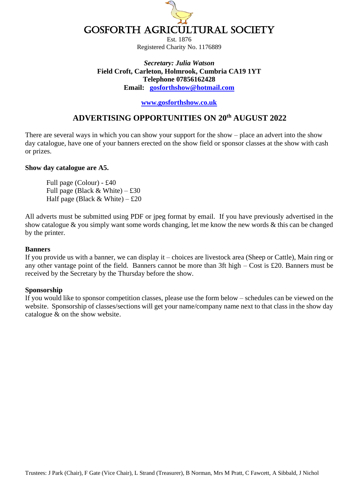# GOSFORTH AGRICULTURAL SOCIETY

Est. 1876 Registered Charity No. 1176889

#### *Secretary: Julia Watson* **Field Croft, Carleton, Holmrook, Cumbria CA19 1YT Telephone 07856162428 Email: [gosforthshow@hotmail.com](about:blank)**

**[www.gosforthshow.co.uk](about:blank)**

### **ADVERTISING OPPORTUNITIES ON 20th AUGUST 2022**

There are several ways in which you can show your support for the show – place an advert into the show day catalogue, have one of your banners erected on the show field or sponsor classes at the show with cash or prizes.

#### **Show day catalogue are A5.**

Full page (Colour) - £40 Full page (Black & White) – £30 Half page (Black  $& White) - £20$ 

All adverts must be submitted using PDF or jpeg format by email. If you have previously advertised in the show catalogue & you simply want some words changing, let me know the new words & this can be changed by the printer.

#### **Banners**

If you provide us with a banner, we can display it – choices are livestock area (Sheep or Cattle), Main ring or any other vantage point of the field. Banners cannot be more than 3ft high – Cost is £20. Banners must be received by the Secretary by the Thursday before the show.

#### **Sponsorship**

If you would like to sponsor competition classes, please use the form below – schedules can be viewed on the website. Sponsorship of classes/sections will get your name/company name next to that class in the show day catalogue & on the show website.